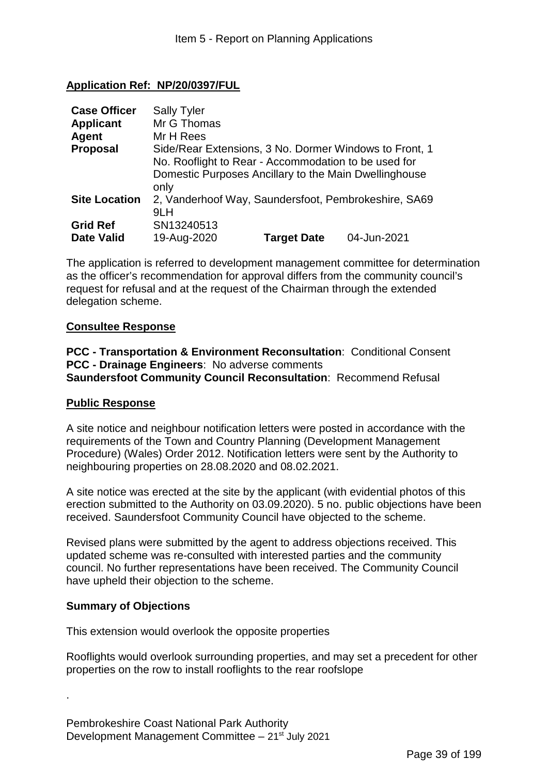# **Application Ref: NP/20/0397/FUL**

| <b>Case Officer</b>                  | <b>Sally Tyler</b>                                                                                                                                                              |
|--------------------------------------|---------------------------------------------------------------------------------------------------------------------------------------------------------------------------------|
| <b>Applicant</b>                     | Mr G Thomas                                                                                                                                                                     |
| Agent                                | Mr H Rees                                                                                                                                                                       |
| <b>Proposal</b>                      | Side/Rear Extensions, 3 No. Dormer Windows to Front, 1<br>No. Rooflight to Rear - Accommodation to be used for<br>Domestic Purposes Ancillary to the Main Dwellinghouse<br>only |
| <b>Site Location</b>                 | 2, Vanderhoof Way, Saundersfoot, Pembrokeshire, SA69<br>9LH                                                                                                                     |
| <b>Grid Ref</b><br><b>Date Valid</b> | SN13240513<br>04-Jun-2021<br>19-Aug-2020<br><b>Target Date</b>                                                                                                                  |

The application is referred to development management committee for determination as the officer's recommendation for approval differs from the community council's request for refusal and at the request of the Chairman through the extended delegation scheme.

#### **Consultee Response**

**PCC - Transportation & Environment Reconsultation**: Conditional Consent **PCC - Drainage Engineers**: No adverse comments **Saundersfoot Community Council Reconsultation**: Recommend Refusal

#### **Public Response**

A site notice and neighbour notification letters were posted in accordance with the requirements of the Town and Country Planning (Development Management Procedure) (Wales) Order 2012. Notification letters were sent by the Authority to neighbouring properties on 28.08.2020 and 08.02.2021.

A site notice was erected at the site by the applicant (with evidential photos of this erection submitted to the Authority on 03.09.2020). 5 no. public objections have been received. Saundersfoot Community Council have objected to the scheme.

Revised plans were submitted by the agent to address objections received. This updated scheme was re-consulted with interested parties and the community council. No further representations have been received. The Community Council have upheld their objection to the scheme.

#### **Summary of Objections**

.

This extension would overlook the opposite properties

Rooflights would overlook surrounding properties, and may set a precedent for other properties on the row to install rooflights to the rear roofslope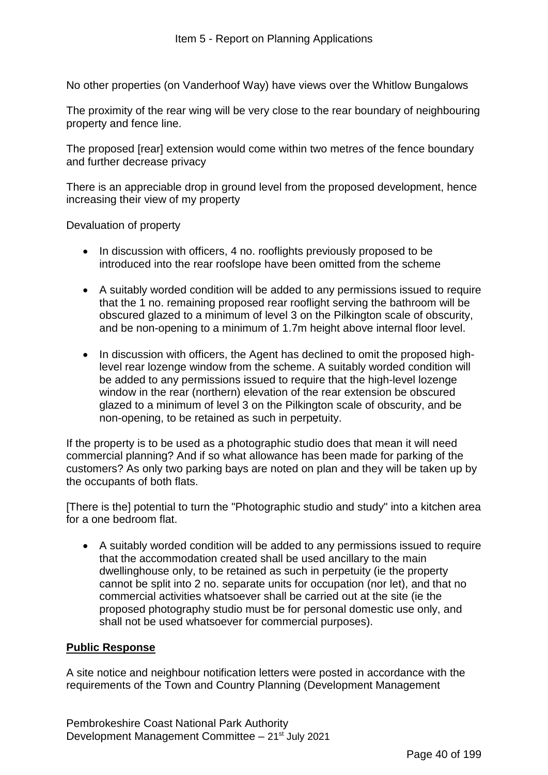No other properties (on Vanderhoof Way) have views over the Whitlow Bungalows

The proximity of the rear wing will be very close to the rear boundary of neighbouring property and fence line.

The proposed [rear] extension would come within two metres of the fence boundary and further decrease privacy

There is an appreciable drop in ground level from the proposed development, hence increasing their view of my property

Devaluation of property

- In discussion with officers, 4 no. rooflights previously proposed to be introduced into the rear roofslope have been omitted from the scheme
- A suitably worded condition will be added to any permissions issued to require that the 1 no. remaining proposed rear rooflight serving the bathroom will be obscured glazed to a minimum of level 3 on the Pilkington scale of obscurity, and be non-opening to a minimum of 1.7m height above internal floor level.
- In discussion with officers, the Agent has declined to omit the proposed highlevel rear lozenge window from the scheme. A suitably worded condition will be added to any permissions issued to require that the high-level lozenge window in the rear (northern) elevation of the rear extension be obscured glazed to a minimum of level 3 on the Pilkington scale of obscurity, and be non-opening, to be retained as such in perpetuity.

If the property is to be used as a photographic studio does that mean it will need commercial planning? And if so what allowance has been made for parking of the customers? As only two parking bays are noted on plan and they will be taken up by the occupants of both flats.

[There is the] potential to turn the "Photographic studio and study" into a kitchen area for a one bedroom flat.

• A suitably worded condition will be added to any permissions issued to require that the accommodation created shall be used ancillary to the main dwellinghouse only, to be retained as such in perpetuity (ie the property cannot be split into 2 no. separate units for occupation (nor let), and that no commercial activities whatsoever shall be carried out at the site (ie the proposed photography studio must be for personal domestic use only, and shall not be used whatsoever for commercial purposes).

#### **Public Response**

A site notice and neighbour notification letters were posted in accordance with the requirements of the Town and Country Planning (Development Management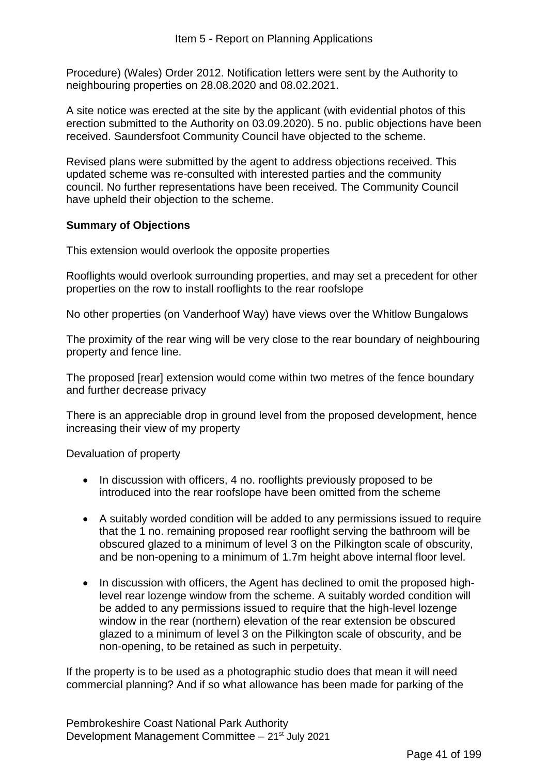Procedure) (Wales) Order 2012. Notification letters were sent by the Authority to neighbouring properties on 28.08.2020 and 08.02.2021.

A site notice was erected at the site by the applicant (with evidential photos of this erection submitted to the Authority on 03.09.2020). 5 no. public objections have been received. Saundersfoot Community Council have objected to the scheme.

Revised plans were submitted by the agent to address objections received. This updated scheme was re-consulted with interested parties and the community council. No further representations have been received. The Community Council have upheld their objection to the scheme.

### **Summary of Objections**

This extension would overlook the opposite properties

Rooflights would overlook surrounding properties, and may set a precedent for other properties on the row to install rooflights to the rear roofslope

No other properties (on Vanderhoof Way) have views over the Whitlow Bungalows

The proximity of the rear wing will be very close to the rear boundary of neighbouring property and fence line.

The proposed [rear] extension would come within two metres of the fence boundary and further decrease privacy

There is an appreciable drop in ground level from the proposed development, hence increasing their view of my property

Devaluation of property

- In discussion with officers, 4 no. rooflights previously proposed to be introduced into the rear roofslope have been omitted from the scheme
- A suitably worded condition will be added to any permissions issued to require that the 1 no. remaining proposed rear rooflight serving the bathroom will be obscured glazed to a minimum of level 3 on the Pilkington scale of obscurity, and be non-opening to a minimum of 1.7m height above internal floor level.
- In discussion with officers, the Agent has declined to omit the proposed highlevel rear lozenge window from the scheme. A suitably worded condition will be added to any permissions issued to require that the high-level lozenge window in the rear (northern) elevation of the rear extension be obscured glazed to a minimum of level 3 on the Pilkington scale of obscurity, and be non-opening, to be retained as such in perpetuity.

If the property is to be used as a photographic studio does that mean it will need commercial planning? And if so what allowance has been made for parking of the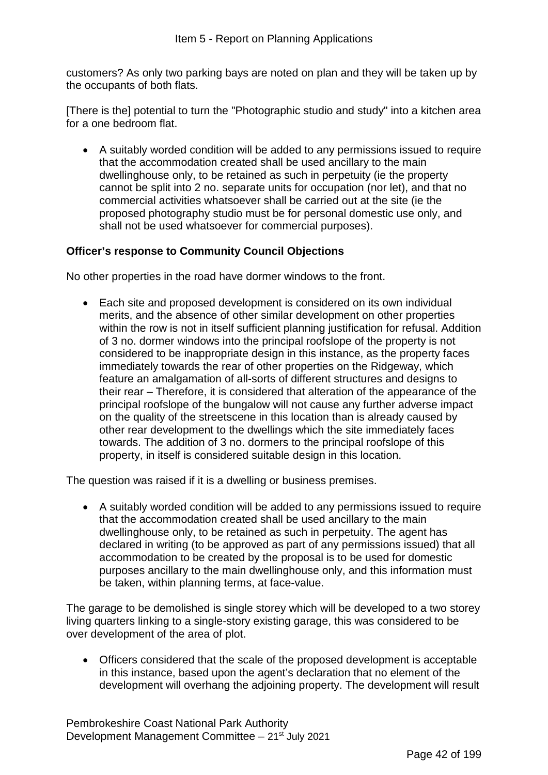customers? As only two parking bays are noted on plan and they will be taken up by the occupants of both flats.

[There is the] potential to turn the "Photographic studio and study" into a kitchen area for a one bedroom flat.

• A suitably worded condition will be added to any permissions issued to require that the accommodation created shall be used ancillary to the main dwellinghouse only, to be retained as such in perpetuity (ie the property cannot be split into 2 no. separate units for occupation (nor let), and that no commercial activities whatsoever shall be carried out at the site (ie the proposed photography studio must be for personal domestic use only, and shall not be used whatsoever for commercial purposes).

### **Officer's response to Community Council Objections**

No other properties in the road have dormer windows to the front.

• Each site and proposed development is considered on its own individual merits, and the absence of other similar development on other properties within the row is not in itself sufficient planning justification for refusal. Addition of 3 no. dormer windows into the principal roofslope of the property is not considered to be inappropriate design in this instance, as the property faces immediately towards the rear of other properties on the Ridgeway, which feature an amalgamation of all-sorts of different structures and designs to their rear – Therefore, it is considered that alteration of the appearance of the principal roofslope of the bungalow will not cause any further adverse impact on the quality of the streetscene in this location than is already caused by other rear development to the dwellings which the site immediately faces towards. The addition of 3 no. dormers to the principal roofslope of this property, in itself is considered suitable design in this location.

The question was raised if it is a dwelling or business premises.

• A suitably worded condition will be added to any permissions issued to require that the accommodation created shall be used ancillary to the main dwellinghouse only, to be retained as such in perpetuity. The agent has declared in writing (to be approved as part of any permissions issued) that all accommodation to be created by the proposal is to be used for domestic purposes ancillary to the main dwellinghouse only, and this information must be taken, within planning terms, at face-value.

The garage to be demolished is single storey which will be developed to a two storey living quarters linking to a single-story existing garage, this was considered to be over development of the area of plot.

• Officers considered that the scale of the proposed development is acceptable in this instance, based upon the agent's declaration that no element of the development will overhang the adjoining property. The development will result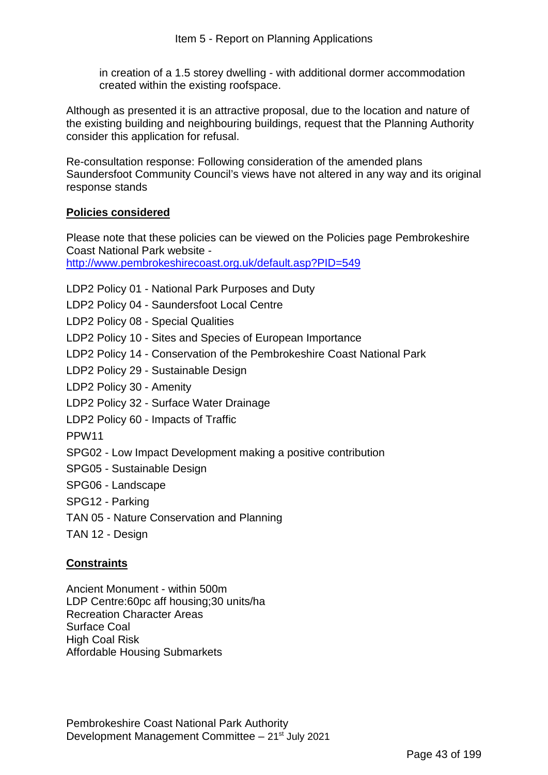in creation of a 1.5 storey dwelling - with additional dormer accommodation created within the existing roofspace.

Although as presented it is an attractive proposal, due to the location and nature of the existing building and neighbouring buildings, request that the Planning Authority consider this application for refusal.

Re-consultation response: Following consideration of the amended plans Saundersfoot Community Council's views have not altered in any way and its original response stands

#### **Policies considered**

Please note that these policies can be viewed on the Policies page Pembrokeshire Coast National Park website -

http://www.pembrokeshirecoast.org.uk/default.asp?PID=549

- LDP2 Policy 01 National Park Purposes and Duty
- LDP2 Policy 04 Saundersfoot Local Centre
- LDP2 Policy 08 Special Qualities
- LDP2 Policy 10 Sites and Species of European Importance
- LDP2 Policy 14 Conservation of the Pembrokeshire Coast National Park
- LDP2 Policy 29 Sustainable Design
- LDP2 Policy 30 Amenity
- LDP2 Policy 32 Surface Water Drainage
- LDP2 Policy 60 Impacts of Traffic
- PPW11
- SPG02 Low Impact Development making a positive contribution
- SPG05 Sustainable Design
- SPG06 Landscape
- SPG12 Parking
- TAN 05 Nature Conservation and Planning
- TAN 12 Design

#### **Constraints**

Ancient Monument - within 500m LDP Centre:60pc aff housing;30 units/ha Recreation Character Areas Surface Coal High Coal Risk Affordable Housing Submarkets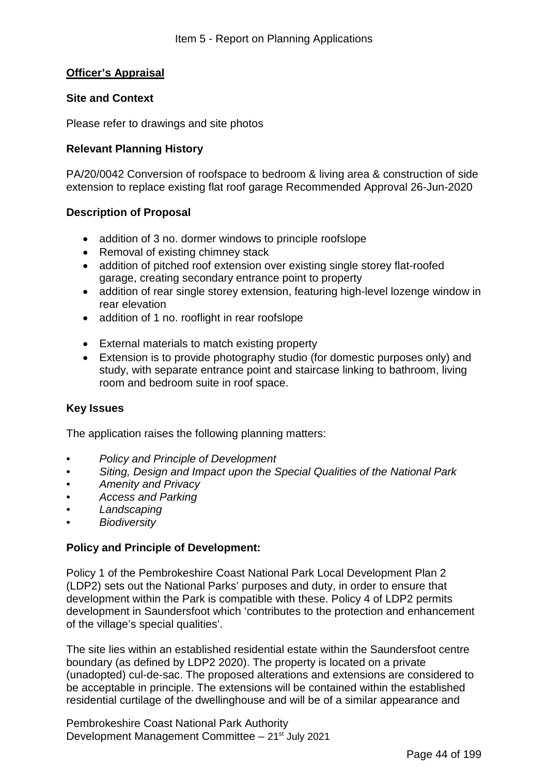### **Officer's Appraisal**

#### **Site and Context**

Please refer to drawings and site photos

#### **Relevant Planning History**

PA/20/0042 Conversion of roofspace to bedroom & living area & construction of side extension to replace existing flat roof garage Recommended Approval 26-Jun-2020

#### **Description of Proposal**

- addition of 3 no. dormer windows to principle roofslope
- Removal of existing chimney stack
- addition of pitched roof extension over existing single storey flat-roofed garage, creating secondary entrance point to property
- addition of rear single storey extension, featuring high-level lozenge window in rear elevation
- addition of 1 no. rooflight in rear roofslope
- External materials to match existing property
- Extension is to provide photography studio (for domestic purposes only) and study, with separate entrance point and staircase linking to bathroom, living room and bedroom suite in roof space.

#### **Key Issues**

The application raises the following planning matters:

- *Policy and Principle of Development*
- *Siting, Design and Impact upon the Special Qualities of the National Park*
- *Amenity and Privacy*
- *Access and Parking*
- *Landscaping*
- *Biodiversity*

#### **Policy and Principle of Development:**

Policy 1 of the Pembrokeshire Coast National Park Local Development Plan 2 (LDP2) sets out the National Parks' purposes and duty, in order to ensure that development within the Park is compatible with these. Policy 4 of LDP2 permits development in Saundersfoot which 'contributes to the protection and enhancement of the village's special qualities'.

The site lies within an established residential estate within the Saundersfoot centre boundary (as defined by LDP2 2020). The property is located on a private (unadopted) cul-de-sac. The proposed alterations and extensions are considered to be acceptable in principle. The extensions will be contained within the established residential curtilage of the dwellinghouse and will be of a similar appearance and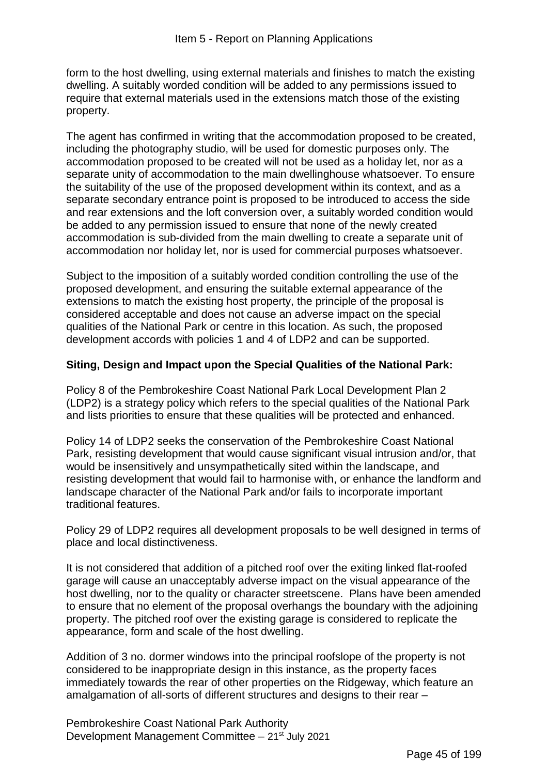form to the host dwelling, using external materials and finishes to match the existing dwelling. A suitably worded condition will be added to any permissions issued to require that external materials used in the extensions match those of the existing property.

The agent has confirmed in writing that the accommodation proposed to be created, including the photography studio, will be used for domestic purposes only. The accommodation proposed to be created will not be used as a holiday let, nor as a separate unity of accommodation to the main dwellinghouse whatsoever. To ensure the suitability of the use of the proposed development within its context, and as a separate secondary entrance point is proposed to be introduced to access the side and rear extensions and the loft conversion over, a suitably worded condition would be added to any permission issued to ensure that none of the newly created accommodation is sub-divided from the main dwelling to create a separate unit of accommodation nor holiday let, nor is used for commercial purposes whatsoever.

Subject to the imposition of a suitably worded condition controlling the use of the proposed development, and ensuring the suitable external appearance of the extensions to match the existing host property, the principle of the proposal is considered acceptable and does not cause an adverse impact on the special qualities of the National Park or centre in this location. As such, the proposed development accords with policies 1 and 4 of LDP2 and can be supported.

### **Siting, Design and Impact upon the Special Qualities of the National Park:**

Policy 8 of the Pembrokeshire Coast National Park Local Development Plan 2 (LDP2) is a strategy policy which refers to the special qualities of the National Park and lists priorities to ensure that these qualities will be protected and enhanced.

Policy 14 of LDP2 seeks the conservation of the Pembrokeshire Coast National Park, resisting development that would cause significant visual intrusion and/or, that would be insensitively and unsympathetically sited within the landscape, and resisting development that would fail to harmonise with, or enhance the landform and landscape character of the National Park and/or fails to incorporate important traditional features.

Policy 29 of LDP2 requires all development proposals to be well designed in terms of place and local distinctiveness.

It is not considered that addition of a pitched roof over the exiting linked flat-roofed garage will cause an unacceptably adverse impact on the visual appearance of the host dwelling, nor to the quality or character streetscene. Plans have been amended to ensure that no element of the proposal overhangs the boundary with the adjoining property. The pitched roof over the existing garage is considered to replicate the appearance, form and scale of the host dwelling.

Addition of 3 no. dormer windows into the principal roofslope of the property is not considered to be inappropriate design in this instance, as the property faces immediately towards the rear of other properties on the Ridgeway, which feature an amalgamation of all-sorts of different structures and designs to their rear –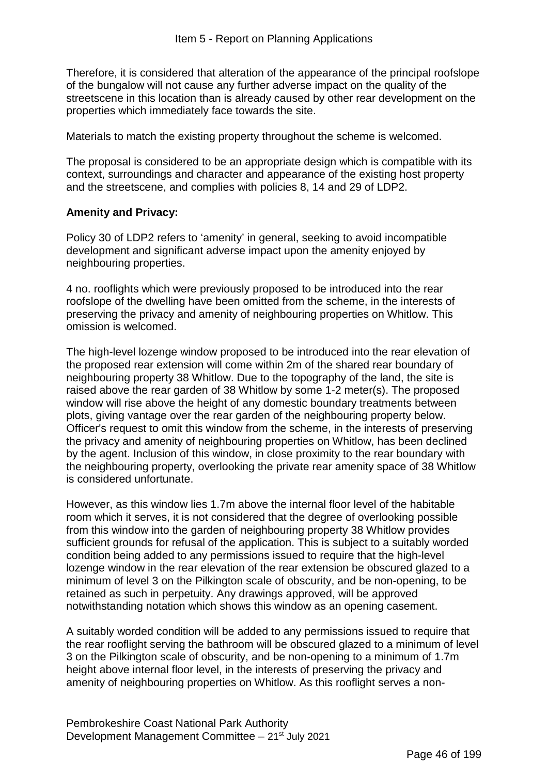Therefore, it is considered that alteration of the appearance of the principal roofslope of the bungalow will not cause any further adverse impact on the quality of the streetscene in this location than is already caused by other rear development on the properties which immediately face towards the site.

Materials to match the existing property throughout the scheme is welcomed.

The proposal is considered to be an appropriate design which is compatible with its context, surroundings and character and appearance of the existing host property and the streetscene, and complies with policies 8, 14 and 29 of LDP2.

#### **Amenity and Privacy:**

Policy 30 of LDP2 refers to 'amenity' in general, seeking to avoid incompatible development and significant adverse impact upon the amenity enjoyed by neighbouring properties.

4 no. rooflights which were previously proposed to be introduced into the rear roofslope of the dwelling have been omitted from the scheme, in the interests of preserving the privacy and amenity of neighbouring properties on Whitlow. This omission is welcomed.

The high-level lozenge window proposed to be introduced into the rear elevation of the proposed rear extension will come within 2m of the shared rear boundary of neighbouring property 38 Whitlow. Due to the topography of the land, the site is raised above the rear garden of 38 Whitlow by some 1-2 meter(s). The proposed window will rise above the height of any domestic boundary treatments between plots, giving vantage over the rear garden of the neighbouring property below. Officer's request to omit this window from the scheme, in the interests of preserving the privacy and amenity of neighbouring properties on Whitlow, has been declined by the agent. Inclusion of this window, in close proximity to the rear boundary with the neighbouring property, overlooking the private rear amenity space of 38 Whitlow is considered unfortunate.

However, as this window lies 1.7m above the internal floor level of the habitable room which it serves, it is not considered that the degree of overlooking possible from this window into the garden of neighbouring property 38 Whitlow provides sufficient grounds for refusal of the application. This is subject to a suitably worded condition being added to any permissions issued to require that the high-level lozenge window in the rear elevation of the rear extension be obscured glazed to a minimum of level 3 on the Pilkington scale of obscurity, and be non-opening, to be retained as such in perpetuity. Any drawings approved, will be approved notwithstanding notation which shows this window as an opening casement.

A suitably worded condition will be added to any permissions issued to require that the rear rooflight serving the bathroom will be obscured glazed to a minimum of level 3 on the Pilkington scale of obscurity, and be non-opening to a minimum of 1.7m height above internal floor level, in the interests of preserving the privacy and amenity of neighbouring properties on Whitlow. As this rooflight serves a non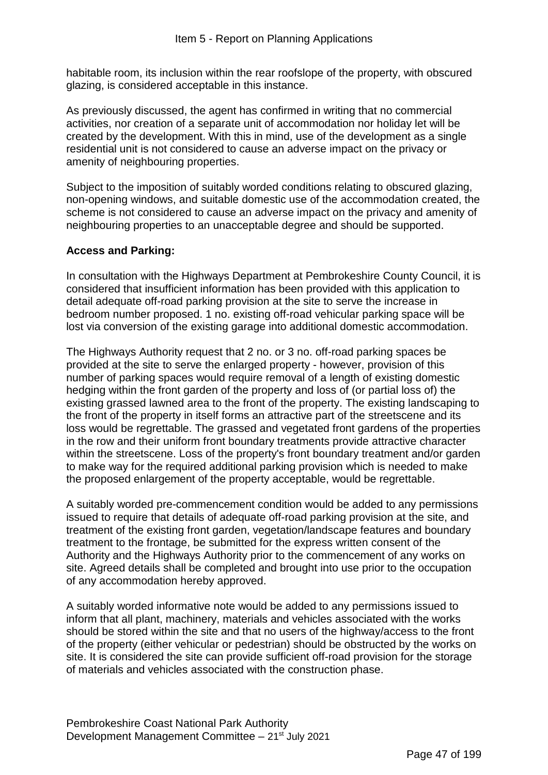habitable room, its inclusion within the rear roofslope of the property, with obscured glazing, is considered acceptable in this instance.

As previously discussed, the agent has confirmed in writing that no commercial activities, nor creation of a separate unit of accommodation nor holiday let will be created by the development. With this in mind, use of the development as a single residential unit is not considered to cause an adverse impact on the privacy or amenity of neighbouring properties.

Subject to the imposition of suitably worded conditions relating to obscured glazing, non-opening windows, and suitable domestic use of the accommodation created, the scheme is not considered to cause an adverse impact on the privacy and amenity of neighbouring properties to an unacceptable degree and should be supported.

### **Access and Parking:**

In consultation with the Highways Department at Pembrokeshire County Council, it is considered that insufficient information has been provided with this application to detail adequate off-road parking provision at the site to serve the increase in bedroom number proposed. 1 no. existing off-road vehicular parking space will be lost via conversion of the existing garage into additional domestic accommodation.

The Highways Authority request that 2 no. or 3 no. off-road parking spaces be provided at the site to serve the enlarged property - however, provision of this number of parking spaces would require removal of a length of existing domestic hedging within the front garden of the property and loss of (or partial loss of) the existing grassed lawned area to the front of the property. The existing landscaping to the front of the property in itself forms an attractive part of the streetscene and its loss would be regrettable. The grassed and vegetated front gardens of the properties in the row and their uniform front boundary treatments provide attractive character within the streetscene. Loss of the property's front boundary treatment and/or garden to make way for the required additional parking provision which is needed to make the proposed enlargement of the property acceptable, would be regrettable.

A suitably worded pre-commencement condition would be added to any permissions issued to require that details of adequate off-road parking provision at the site, and treatment of the existing front garden, vegetation/landscape features and boundary treatment to the frontage, be submitted for the express written consent of the Authority and the Highways Authority prior to the commencement of any works on site. Agreed details shall be completed and brought into use prior to the occupation of any accommodation hereby approved.

A suitably worded informative note would be added to any permissions issued to inform that all plant, machinery, materials and vehicles associated with the works should be stored within the site and that no users of the highway/access to the front of the property (either vehicular or pedestrian) should be obstructed by the works on site. It is considered the site can provide sufficient off-road provision for the storage of materials and vehicles associated with the construction phase.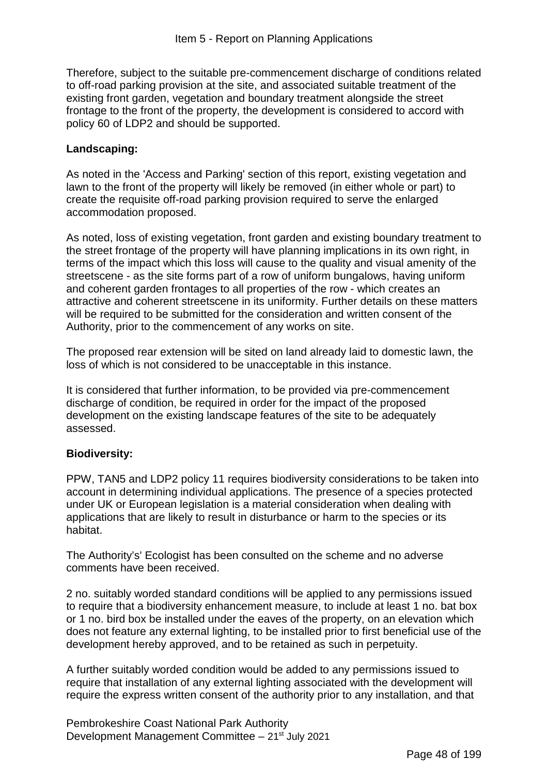Therefore, subject to the suitable pre-commencement discharge of conditions related to off-road parking provision at the site, and associated suitable treatment of the existing front garden, vegetation and boundary treatment alongside the street frontage to the front of the property, the development is considered to accord with policy 60 of LDP2 and should be supported.

## **Landscaping:**

As noted in the 'Access and Parking' section of this report, existing vegetation and lawn to the front of the property will likely be removed (in either whole or part) to create the requisite off-road parking provision required to serve the enlarged accommodation proposed.

As noted, loss of existing vegetation, front garden and existing boundary treatment to the street frontage of the property will have planning implications in its own right, in terms of the impact which this loss will cause to the quality and visual amenity of the streetscene - as the site forms part of a row of uniform bungalows, having uniform and coherent garden frontages to all properties of the row - which creates an attractive and coherent streetscene in its uniformity. Further details on these matters will be required to be submitted for the consideration and written consent of the Authority, prior to the commencement of any works on site.

The proposed rear extension will be sited on land already laid to domestic lawn, the loss of which is not considered to be unacceptable in this instance.

It is considered that further information, to be provided via pre-commencement discharge of condition, be required in order for the impact of the proposed development on the existing landscape features of the site to be adequately assessed.

#### **Biodiversity:**

PPW, TAN5 and LDP2 policy 11 requires biodiversity considerations to be taken into account in determining individual applications. The presence of a species protected under UK or European legislation is a material consideration when dealing with applications that are likely to result in disturbance or harm to the species or its habitat.

The Authority's' Ecologist has been consulted on the scheme and no adverse comments have been received.

2 no. suitably worded standard conditions will be applied to any permissions issued to require that a biodiversity enhancement measure, to include at least 1 no. bat box or 1 no. bird box be installed under the eaves of the property, on an elevation which does not feature any external lighting, to be installed prior to first beneficial use of the development hereby approved, and to be retained as such in perpetuity.

A further suitably worded condition would be added to any permissions issued to require that installation of any external lighting associated with the development will require the express written consent of the authority prior to any installation, and that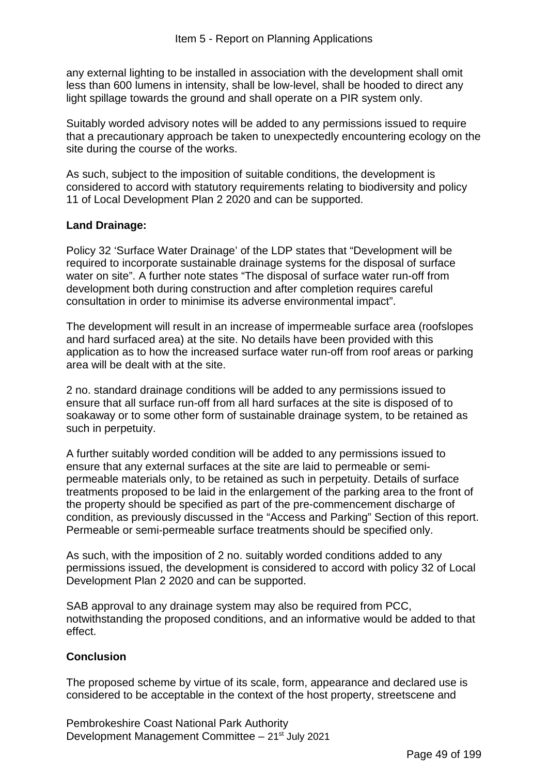any external lighting to be installed in association with the development shall omit less than 600 lumens in intensity, shall be low-level, shall be hooded to direct any light spillage towards the ground and shall operate on a PIR system only.

Suitably worded advisory notes will be added to any permissions issued to require that a precautionary approach be taken to unexpectedly encountering ecology on the site during the course of the works.

As such, subject to the imposition of suitable conditions, the development is considered to accord with statutory requirements relating to biodiversity and policy 11 of Local Development Plan 2 2020 and can be supported.

### **Land Drainage:**

Policy 32 'Surface Water Drainage' of the LDP states that "Development will be required to incorporate sustainable drainage systems for the disposal of surface water on site". A further note states "The disposal of surface water run-off from development both during construction and after completion requires careful consultation in order to minimise its adverse environmental impact".

The development will result in an increase of impermeable surface area (roofslopes and hard surfaced area) at the site. No details have been provided with this application as to how the increased surface water run-off from roof areas or parking area will be dealt with at the site.

2 no. standard drainage conditions will be added to any permissions issued to ensure that all surface run-off from all hard surfaces at the site is disposed of to soakaway or to some other form of sustainable drainage system, to be retained as such in perpetuity.

A further suitably worded condition will be added to any permissions issued to ensure that any external surfaces at the site are laid to permeable or semipermeable materials only, to be retained as such in perpetuity. Details of surface treatments proposed to be laid in the enlargement of the parking area to the front of the property should be specified as part of the pre-commencement discharge of condition, as previously discussed in the "Access and Parking" Section of this report. Permeable or semi-permeable surface treatments should be specified only.

As such, with the imposition of 2 no. suitably worded conditions added to any permissions issued, the development is considered to accord with policy 32 of Local Development Plan 2 2020 and can be supported.

SAB approval to any drainage system may also be required from PCC, notwithstanding the proposed conditions, and an informative would be added to that effect.

#### **Conclusion**

The proposed scheme by virtue of its scale, form, appearance and declared use is considered to be acceptable in the context of the host property, streetscene and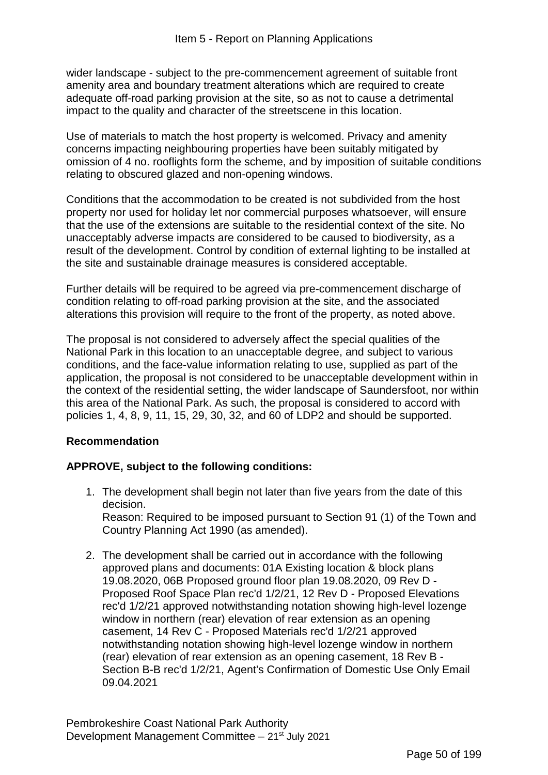wider landscape - subject to the pre-commencement agreement of suitable front amenity area and boundary treatment alterations which are required to create adequate off-road parking provision at the site, so as not to cause a detrimental impact to the quality and character of the streetscene in this location.

Use of materials to match the host property is welcomed. Privacy and amenity concerns impacting neighbouring properties have been suitably mitigated by omission of 4 no. rooflights form the scheme, and by imposition of suitable conditions relating to obscured glazed and non-opening windows.

Conditions that the accommodation to be created is not subdivided from the host property nor used for holiday let nor commercial purposes whatsoever, will ensure that the use of the extensions are suitable to the residential context of the site. No unacceptably adverse impacts are considered to be caused to biodiversity, as a result of the development. Control by condition of external lighting to be installed at the site and sustainable drainage measures is considered acceptable.

Further details will be required to be agreed via pre-commencement discharge of condition relating to off-road parking provision at the site, and the associated alterations this provision will require to the front of the property, as noted above.

The proposal is not considered to adversely affect the special qualities of the National Park in this location to an unacceptable degree, and subject to various conditions, and the face-value information relating to use, supplied as part of the application, the proposal is not considered to be unacceptable development within in the context of the residential setting, the wider landscape of Saundersfoot, nor within this area of the National Park. As such, the proposal is considered to accord with policies 1, 4, 8, 9, 11, 15, 29, 30, 32, and 60 of LDP2 and should be supported.

#### **Recommendation**

# **APPROVE, subject to the following conditions:**

- 1. The development shall begin not later than five years from the date of this decision. Reason: Required to be imposed pursuant to Section 91 (1) of the Town and Country Planning Act 1990 (as amended).
- 2. The development shall be carried out in accordance with the following approved plans and documents: 01A Existing location & block plans 19.08.2020, 06B Proposed ground floor plan 19.08.2020, 09 Rev D - Proposed Roof Space Plan rec'd 1/2/21, 12 Rev D - Proposed Elevations rec'd 1/2/21 approved notwithstanding notation showing high-level lozenge window in northern (rear) elevation of rear extension as an opening casement, 14 Rev C - Proposed Materials rec'd 1/2/21 approved notwithstanding notation showing high-level lozenge window in northern (rear) elevation of rear extension as an opening casement, 18 Rev B - Section B-B rec'd 1/2/21, Agent's Confirmation of Domestic Use Only Email 09.04.2021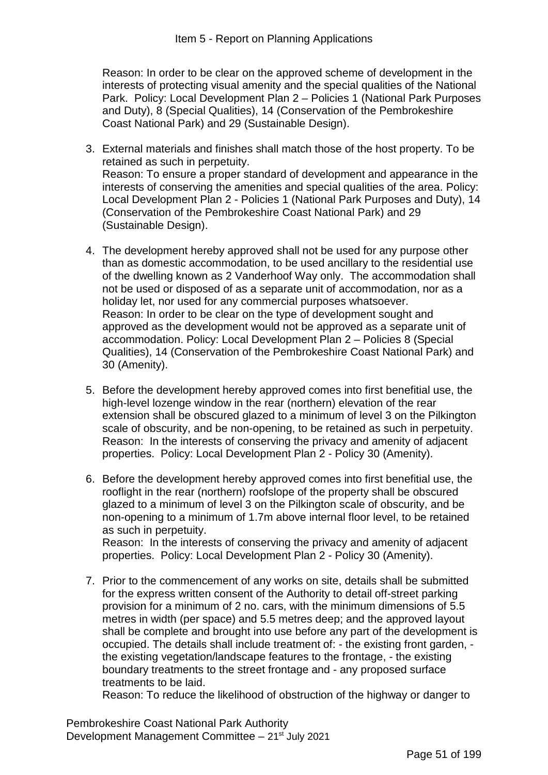Reason: In order to be clear on the approved scheme of development in the interests of protecting visual amenity and the special qualities of the National Park. Policy: Local Development Plan 2 – Policies 1 (National Park Purposes and Duty), 8 (Special Qualities), 14 (Conservation of the Pembrokeshire Coast National Park) and 29 (Sustainable Design).

- 3. External materials and finishes shall match those of the host property. To be retained as such in perpetuity. Reason: To ensure a proper standard of development and appearance in the interests of conserving the amenities and special qualities of the area. Policy: Local Development Plan 2 - Policies 1 (National Park Purposes and Duty), 14 (Conservation of the Pembrokeshire Coast National Park) and 29 (Sustainable Design).
- 4. The development hereby approved shall not be used for any purpose other than as domestic accommodation, to be used ancillary to the residential use of the dwelling known as 2 Vanderhoof Way only. The accommodation shall not be used or disposed of as a separate unit of accommodation, nor as a holiday let, nor used for any commercial purposes whatsoever. Reason: In order to be clear on the type of development sought and approved as the development would not be approved as a separate unit of accommodation. Policy: Local Development Plan 2 – Policies 8 (Special Qualities), 14 (Conservation of the Pembrokeshire Coast National Park) and 30 (Amenity).
- 5. Before the development hereby approved comes into first benefitial use, the high-level lozenge window in the rear (northern) elevation of the rear extension shall be obscured glazed to a minimum of level 3 on the Pilkington scale of obscurity, and be non-opening, to be retained as such in perpetuity. Reason: In the interests of conserving the privacy and amenity of adjacent properties. Policy: Local Development Plan 2 - Policy 30 (Amenity).
- 6. Before the development hereby approved comes into first benefitial use, the rooflight in the rear (northern) roofslope of the property shall be obscured glazed to a minimum of level 3 on the Pilkington scale of obscurity, and be non-opening to a minimum of 1.7m above internal floor level, to be retained as such in perpetuity. Reason: In the interests of conserving the privacy and amenity of adjacent properties. Policy: Local Development Plan 2 - Policy 30 (Amenity).
- 7. Prior to the commencement of any works on site, details shall be submitted for the express written consent of the Authority to detail off-street parking provision for a minimum of 2 no. cars, with the minimum dimensions of 5.5 metres in width (per space) and 5.5 metres deep; and the approved layout shall be complete and brought into use before any part of the development is occupied. The details shall include treatment of: - the existing front garden, the existing vegetation/landscape features to the frontage, - the existing boundary treatments to the street frontage and - any proposed surface treatments to be laid.

Reason: To reduce the likelihood of obstruction of the highway or danger to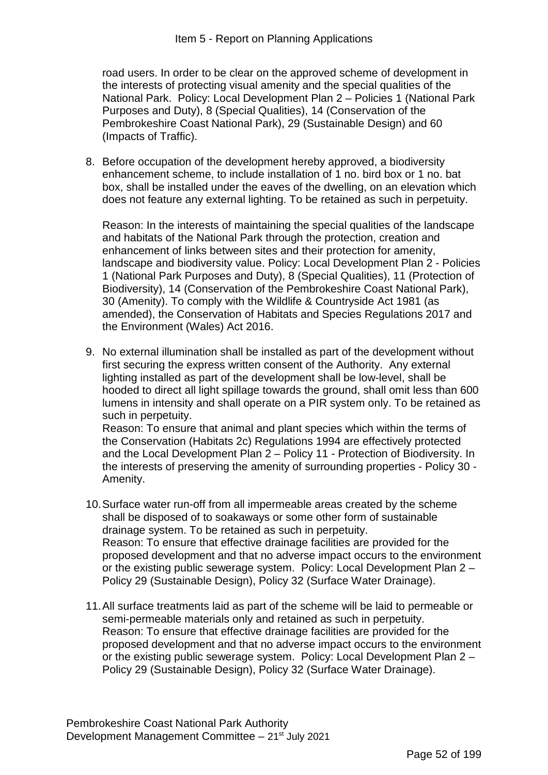road users. In order to be clear on the approved scheme of development in the interests of protecting visual amenity and the special qualities of the National Park. Policy: Local Development Plan 2 – Policies 1 (National Park Purposes and Duty), 8 (Special Qualities), 14 (Conservation of the Pembrokeshire Coast National Park), 29 (Sustainable Design) and 60 (Impacts of Traffic).

8. Before occupation of the development hereby approved, a biodiversity enhancement scheme, to include installation of 1 no. bird box or 1 no. bat box, shall be installed under the eaves of the dwelling, on an elevation which does not feature any external lighting. To be retained as such in perpetuity.

Reason: In the interests of maintaining the special qualities of the landscape and habitats of the National Park through the protection, creation and enhancement of links between sites and their protection for amenity, landscape and biodiversity value. Policy: Local Development Plan 2 - Policies 1 (National Park Purposes and Duty), 8 (Special Qualities), 11 (Protection of Biodiversity), 14 (Conservation of the Pembrokeshire Coast National Park), 30 (Amenity). To comply with the Wildlife & Countryside Act 1981 (as amended), the Conservation of Habitats and Species Regulations 2017 and the Environment (Wales) Act 2016.

9. No external illumination shall be installed as part of the development without first securing the express written consent of the Authority. Any external lighting installed as part of the development shall be low-level, shall be hooded to direct all light spillage towards the ground, shall omit less than 600 lumens in intensity and shall operate on a PIR system only. To be retained as such in perpetuity. Reason: To ensure that animal and plant species which within the terms of the Conservation (Habitats 2c) Regulations 1994 are effectively protected and the Local Development Plan 2 – Policy 11 - Protection of Biodiversity. In the interests of preserving the amenity of surrounding properties - Policy 30 -

Amenity.

- 10.Surface water run-off from all impermeable areas created by the scheme shall be disposed of to soakaways or some other form of sustainable drainage system. To be retained as such in perpetuity. Reason: To ensure that effective drainage facilities are provided for the proposed development and that no adverse impact occurs to the environment or the existing public sewerage system. Policy: Local Development Plan 2 – Policy 29 (Sustainable Design), Policy 32 (Surface Water Drainage).
- 11.All surface treatments laid as part of the scheme will be laid to permeable or semi-permeable materials only and retained as such in perpetuity. Reason: To ensure that effective drainage facilities are provided for the proposed development and that no adverse impact occurs to the environment or the existing public sewerage system. Policy: Local Development Plan 2 – Policy 29 (Sustainable Design), Policy 32 (Surface Water Drainage).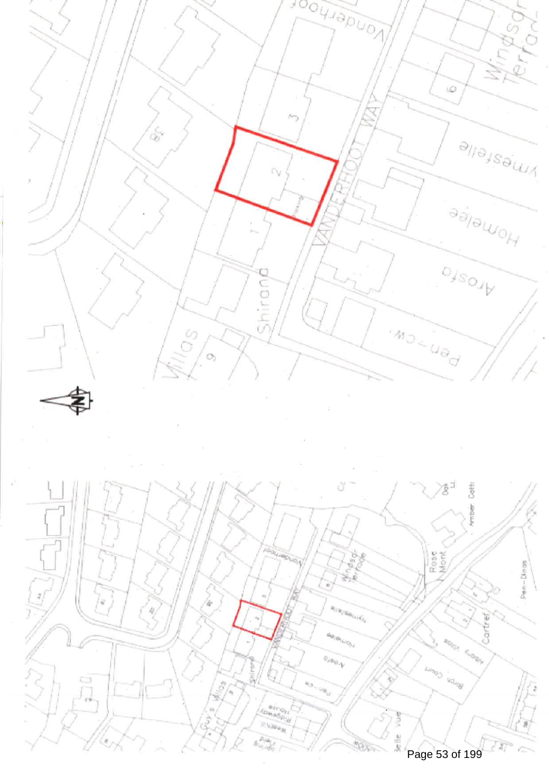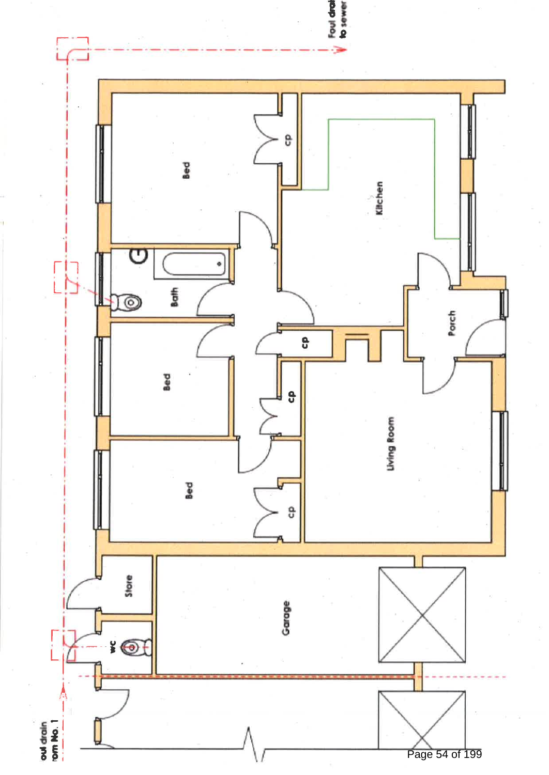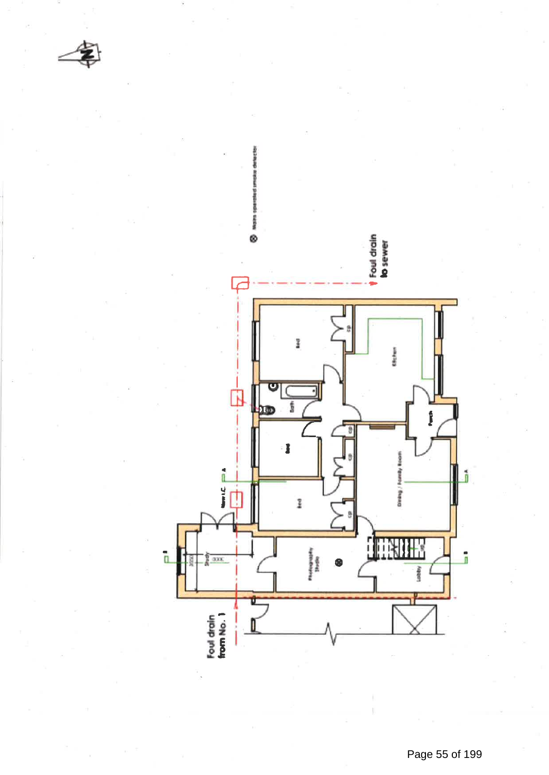

Page 55 of 199